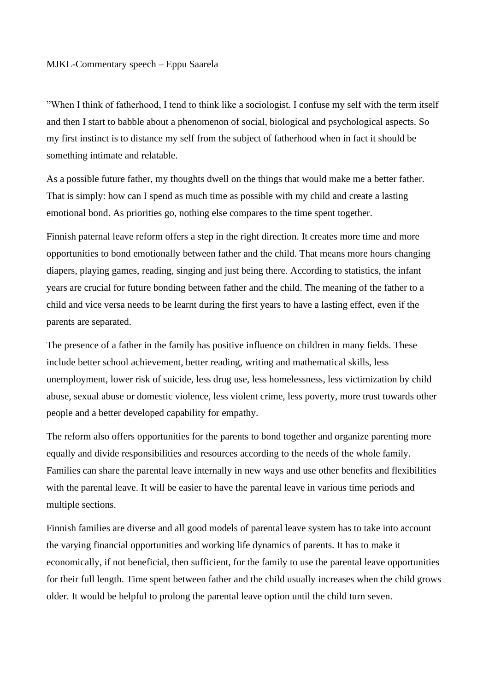## MJKL-Commentary speech – Eppu Saarela

"When I think of fatherhood, I tend to think like a sociologist. I confuse my self with the term itself and then I start to babble about a phenomenon of social, biological and psychological aspects. So my first instinct is to distance my self from the subject of fatherhood when in fact it should be something intimate and relatable.

As a possible future father, my thoughts dwell on the things that would make me a better father. That is simply: how can I spend as much time as possible with my child and create a lasting emotional bond. As priorities go, nothing else compares to the time spent together.

Finnish paternal leave reform offers a step in the right direction. It creates more time and more opportunities to bond emotionally between father and the child. That means more hours changing diapers, playing games, reading, singing and just being there. According to statistics, the infant years are crucial for future bonding between father and the child. The meaning of the father to a child and vice versa needs to be learnt during the first years to have a lasting effect, even if the parents are separated.

The presence of a father in the family has positive influence on children in many fields. These include better school achievement, better reading, writing and mathematical skills, less unemployment, lower risk of suicide, less drug use, less homelessness, less victimization by child abuse, sexual abuse or domestic violence, less violent crime, less poverty, more trust towards other people and a better developed capability for empathy.

The reform also offers opportunities for the parents to bond together and organize parenting more equally and divide responsibilities and resources according to the needs of the whole family. Families can share the parental leave internally in new ways and use other benefits and flexibilities with the parental leave. It will be easier to have the parental leave in various time periods and multiple sections.

Finnish families are diverse and all good models of parental leave system has to take into account the varying financial opportunities and working life dynamics of parents. It has to make it economically, if not beneficial, then sufficient, for the family to use the parental leave opportunities for their full length. Time spent between father and the child usually increases when the child grows older. It would be helpful to prolong the parental leave option until the child turn seven.